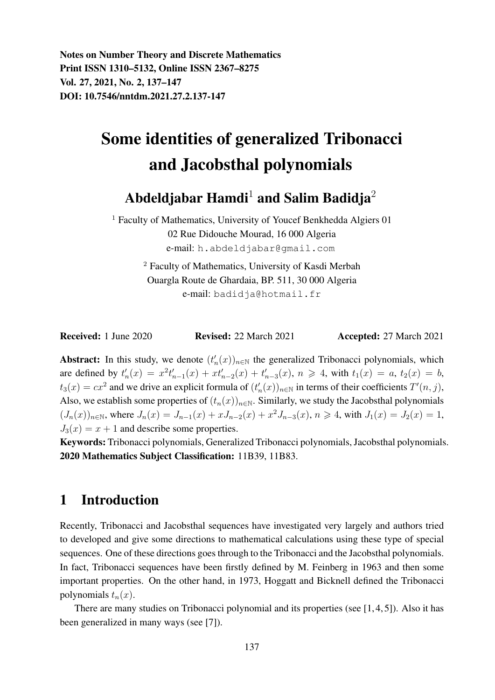Notes on Number Theory and Discrete Mathematics Print ISSN 1310–5132, Online ISSN 2367–8275 Vol. 27, 2021, No. 2, 137–147 DOI: 10.7546/nntdm.2021.27.2.137-147

# Some identities of generalized Tribonacci and Jacobsthal polynomials

# Abdeldjabar Hamdi<sup>1</sup> and Salim Badidja<sup>2</sup>

<sup>1</sup> Faculty of Mathematics, University of Youcef Benkhedda Algiers 01 02 Rue Didouche Mourad, 16 000 Algeria e-mail: h.abdeldjabar@gmail.com

> <sup>2</sup> Faculty of Mathematics, University of Kasdi Merbah Ouargla Route de Ghardaia, BP. 511, 30 000 Algeria e-mail: badidja@hotmail.fr

Received: 1 June 2020 Revised: 22 March 2021 Accepted: 27 March 2021

Abstract: In this study, we denote  $(t'_n(x))_{n\in\mathbb{N}}$  the generalized Tribonacci polynomials, which are defined by  $t'_n(x) = x^2 t'_{n-1}(x) + xt'_{n-2}(x) + t'_{n-3}(x)$ ,  $n \ge 4$ , with  $t_1(x) = a$ ,  $t_2(x) = b$ ,  $t_3(x) = cx^2$  and we drive an explicit formula of  $(t'_n(x))_{n \in \mathbb{N}}$  in terms of their coefficients  $T'(n, j)$ , Also, we establish some properties of  $(t_n(x))_{n\in\mathbb{N}}$ . Similarly, we study the Jacobsthal polynomials  $(J_n(x))_{n \in \mathbb{N}}$ , where  $J_n(x) = J_{n-1}(x) + xJ_{n-2}(x) + x^2J_{n-3}(x)$ ,  $n \ge 4$ , with  $J_1(x) = J_2(x) = 1$ ,  $J_3(x) = x + 1$  and describe some properties.

Keywords: Tribonacci polynomials, Generalized Tribonacci polynomials, Jacobsthal polynomials. 2020 Mathematics Subject Classification: 11B39, 11B83.

# 1 Introduction

Recently, Tribonacci and Jacobsthal sequences have investigated very largely and authors tried to developed and give some directions to mathematical calculations using these type of special sequences. One of these directions goes through to the Tribonacci and the Jacobsthal polynomials. In fact, Tribonacci sequences have been firstly defined by M. Feinberg in 1963 and then some important properties. On the other hand, in 1973, Hoggatt and Bicknell defined the Tribonacci polynomials  $t_n(x)$ .

There are many studies on Tribonacci polynomial and its properties (see [1, 4, 5]). Also it has been generalized in many ways (see [7]).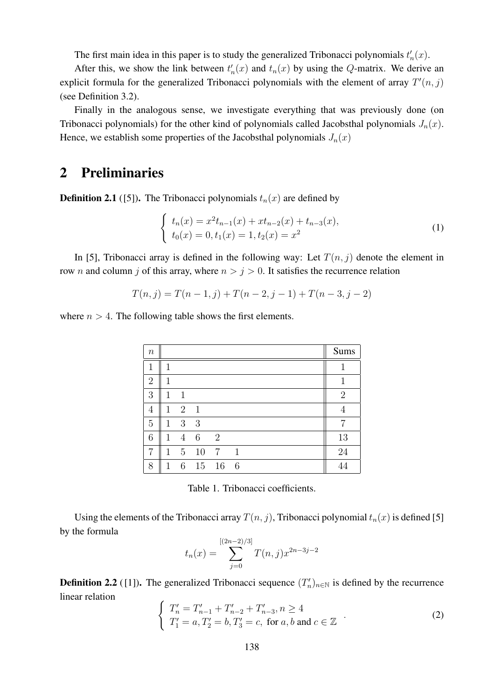The first main idea in this paper is to study the generalized Tribonacci polynomials  $t'_n(x)$ .

After this, we show the link between  $t'_n(x)$  and  $t_n(x)$  by using the Q-matrix. We derive an explicit formula for the generalized Tribonacci polynomials with the element of array  $T'(n, j)$ (see Definition 3.2).

Finally in the analogous sense, we investigate everything that was previously done (on Tribonacci polynomials) for the other kind of polynomials called Jacobsthal polynomials  $J_n(x)$ . Hence, we establish some properties of the Jacobsthal polynomials  $J_n(x)$ 

### 2 Preliminaries

**Definition 2.1** ([5]). The Tribonacci polynomials  $t_n(x)$  are defined by

$$
\begin{cases}\n t_n(x) = x^2 t_{n-1}(x) + x t_{n-2}(x) + t_{n-3}(x), \\
 t_0(x) = 0, t_1(x) = 1, t_2(x) = x^2\n\end{cases}
$$
\n(1)

In [5], Tribonacci array is defined in the following way: Let  $T(n, j)$  denote the element in row *n* and column *j* of this array, where  $n > j > 0$ . It satisfies the recurrence relation

$$
T(n, j) = T(n - 1, j) + T(n - 2, j - 1) + T(n - 3, j - 2)
$$

where  $n > 4$ . The following table shows the first elements.

| $\it n$        |              |                |                |                 |              |  |  | Sums           |
|----------------|--------------|----------------|----------------|-----------------|--------------|--|--|----------------|
| 1              |              |                |                |                 |              |  |  |                |
| $\overline{2}$ | 1            |                |                |                 |              |  |  | 1              |
| 3              | 1            | 1              |                |                 |              |  |  | $\overline{2}$ |
| 4              | $\mathbf{1}$ | $\overline{2}$ | $\overline{1}$ |                 |              |  |  | 4              |
| 5              | 1            | 3              | -3             |                 |              |  |  | 7              |
| 6              | 1            | 4              | 6              | 2               |              |  |  | 13             |
| 7              | $\mathbf{1}$ | 5 <sup>5</sup> | 10             | $7\overline{ }$ | $\mathbf{1}$ |  |  | 24             |
| 8              | 1            | 6              | 15             | 16              | 6            |  |  |                |

Table 1. Tribonacci coefficients.

Using the elements of the Tribonacci array  $T(n, j)$ , Tribonacci polynomial  $t_n(x)$  is defined [5] by the formula

$$
t_n(x) = \sum_{j=0}^{[(2n-2)/3]} T(n,j)x^{2n-3j-2}
$$

**Definition 2.2** ([1]). The generalized Tribonacci sequence  $(T'_n)_{n \in \mathbb{N}}$  is defined by the recurrence linear relation

$$
\begin{cases}\nT'_{n} = T'_{n-1} + T'_{n-2} + T'_{n-3}, n \ge 4 \\
T'_{1} = a, T'_{2} = b, T'_{3} = c, \text{ for } a, b \text{ and } c \in \mathbb{Z}\n\end{cases} (2)
$$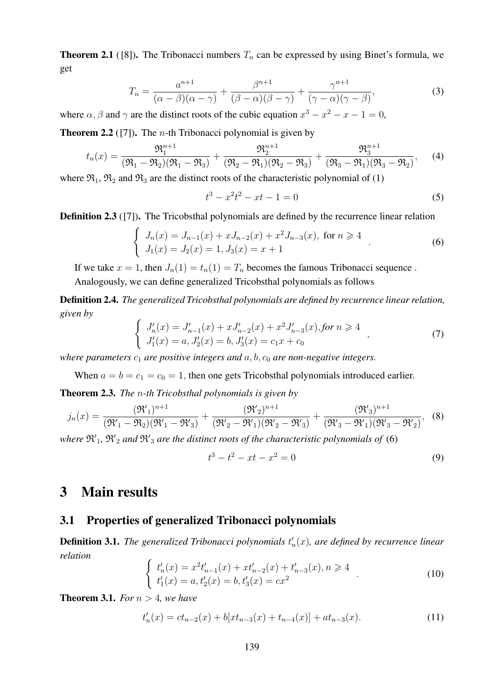**Theorem 2.1** ([8]). The Tribonacci numbers  $T_n$  can be expressed by using Binet's formula, we get

$$
T_n = \frac{a^{n+1}}{(\alpha - \beta)(\alpha - \gamma)} + \frac{\beta^{n+1}}{(\beta - \alpha)(\beta - \gamma)} + \frac{\gamma^{n+1}}{(\gamma - \alpha)(\gamma - \beta)},
$$
(3)

where  $\alpha$ ,  $\beta$  and  $\gamma$  are the distinct roots of the cubic equation  $x^3 - x^2 - x - 1 = 0$ ,

**Theorem 2.2** ([7]). The *n*-th Tribonacci polynomial is given by

$$
t_n(x) = \frac{\mathfrak{R}_1^{n+1}}{(\mathfrak{R}_1 - \mathfrak{R}_2)(\mathfrak{R}_1 - \mathfrak{R}_3)} + \frac{\mathfrak{R}_2^{n+1}}{(\mathfrak{R}_2 - \mathfrak{R}_1)(\mathfrak{R}_2 - \mathfrak{R}_3)} + \frac{\mathfrak{R}_3^{n+1}}{(\mathfrak{R}_3 - \mathfrak{R}_1)(\mathfrak{R}_3 - \mathfrak{R}_2)},\qquad(4)
$$

where  $\mathfrak{R}_1$ ,  $\mathfrak{R}_2$  and  $\mathfrak{R}_3$  are the distinct roots of the characteristic polynomial of (1)

$$
t^3 - x^2t^2 - xt - 1 = 0 \tag{5}
$$

**Definition 2.3** ([7]). The Tricobsthal polynomials are defined by the recurrence linear relation

$$
\begin{cases}\nJ_n(x) = J_{n-1}(x) + xJ_{n-2}(x) + x^2J_{n-3}(x), \text{ for } n \ge 4 \\
J_1(x) = J_2(x) = 1, J_3(x) = x + 1\n\end{cases} (6)
$$

If we take  $x = 1$ , then  $J_n(1) = t_n(1) = T_n$  becomes the famous Tribonacci sequence. Analogously, we can define generalized Tricobsthal polynomials as follows

Definition 2.4. *The generalized Tricobsthal polynomials are defined by recurrence linear relation, given by*

$$
\begin{cases}\nJ'_n(x) = J'_{n-1}(x) + xJ'_{n-2}(x) + x^2J'_{n-3}(x), \text{for } n \ge 4 \\
J'_1(x) = a, J'_2(x) = b, J'_3(x) = c_1x + c_0\n\end{cases}
$$
\n(7)

*where parameters*  $c_1$  *are positive integers and*  $a, b, c_0$  *are non-negative integers.* 

When  $a = b = c_1 = c_0 = 1$ , then one gets Tricobsthal polynomials introduced earlier.

Theorem 2.3. *The* n*-th Tricobsthal polynomials is given by*

$$
j_n(x) = \frac{(\mathfrak{R}'_1)^{n+1}}{(\mathfrak{R}'_1 - \mathfrak{R}_2)(\mathfrak{R}'_1 - \mathfrak{R}'_3)} + \frac{(\mathfrak{R}'_2)^{n+1}}{(\mathfrak{R}'_2 - \mathfrak{R}'_1)(\mathfrak{R}'_2 - \mathfrak{R}'_3)} + \frac{(\mathfrak{R}'_3)^{n+1}}{(\mathfrak{R}'_3 - \mathfrak{R}'_1)(\mathfrak{R}'_3 - \mathfrak{R}'_2)},
$$
(8)

where  $\mathfrak{R}_1'$ ,  $\mathfrak{R}_2'$  and  $\mathfrak{R}_3'$  are the distinct roots of the characteristic polynomials of (6)

$$
t^3 - t^2 - xt - x^2 = 0 \tag{9}
$$

# 3 Main results

#### 3.1 Properties of generalized Tribonacci polynomials

**Definition 3.1.** The generalized Tribonacci polynomials  $t'_{n}(x)$ , are defined by recurrence linear *relation*

$$
\begin{cases}\n t'_n(x) = x^2 t'_{n-1}(x) + x t'_{n-2}(x) + t'_{n-3}(x), n \ge 4 \\
 t'_1(x) = a, t'_2(x) = b, t'_3(x) = cx^2\n\end{cases} \tag{10}
$$

**Theorem 3.1.** *For*  $n > 4$ *, we have* 

$$
t'_{n}(x) = ct_{n-2}(x) + b[xt_{n-3}(x) + t_{n-4}(x)] + at_{n-3}(x).
$$
 (11)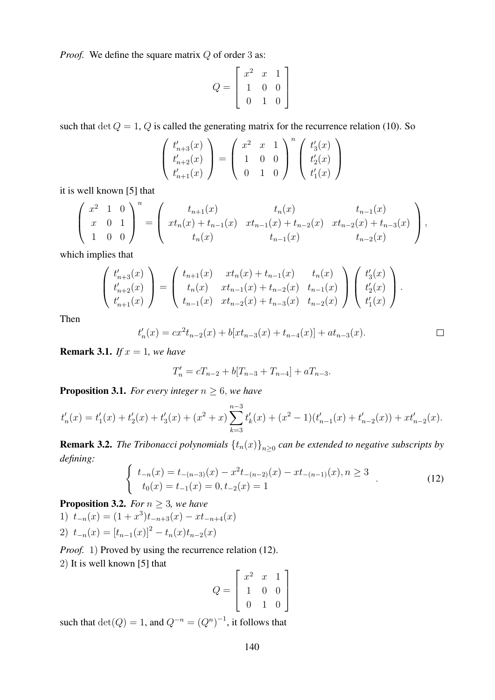*Proof.* We define the square matrix Q of order 3 as:

$$
Q = \left[ \begin{array}{rrr} x^2 & x & 1 \\ 1 & 0 & 0 \\ 0 & 1 & 0 \end{array} \right]
$$

such that  $\det Q = 1$ , Q is called the generating matrix for the recurrence relation (10). So

$$
\begin{pmatrix} t'_{n+3}(x) \\ t'_{n+2}(x) \\ t'_{n+1}(x) \end{pmatrix} = \begin{pmatrix} x^2 & x & 1 \\ 1 & 0 & 0 \\ 0 & 1 & 0 \end{pmatrix}^n \begin{pmatrix} t'_3(x) \\ t'_2(x) \\ t'_1(x) \end{pmatrix}
$$

it is well known [5] that

$$
\begin{pmatrix} x^2 & 1 & 0 \ x & 0 & 1 \ 1 & 0 & 0 \end{pmatrix}^n = \begin{pmatrix} t_{n+1}(x) & t_n(x) & t_{n-1}(x) \ x t_n(x) + t_{n-1}(x) & x t_{n-1}(x) + t_{n-2}(x) & x t_{n-2}(x) + t_{n-3}(x) \ t_n(x) & t_{n-1}(x) & t_{n-2}(x) \end{pmatrix},
$$

which implies that

$$
\begin{pmatrix} t'_{n+3}(x) \\ t'_{n+2}(x) \\ t'_{n+1}(x) \end{pmatrix} = \begin{pmatrix} t_{n+1}(x) & xt_n(x) + t_{n-1}(x) & t_n(x) \\ t_n(x) & xt_{n-1}(x) + t_{n-2}(x) & t_{n-1}(x) \\ t_{n-1}(x) & xt_{n-2}(x) + t_{n-3}(x) & t_{n-2}(x) \end{pmatrix} \begin{pmatrix} t'_3(x) \\ t'_2(x) \\ t'_1(x) \end{pmatrix}.
$$

Then

$$
t'_{n}(x) = cx^{2}t_{n-2}(x) + b[xt_{n-3}(x) + t_{n-4}(x)] + at_{n-3}(x).
$$

**Remark 3.1.** *If*  $x = 1$ *, we have* 

$$
T'_n = cT_{n-2} + b[T_{n-3} + T_{n-4}] + aT_{n-3}.
$$

**Proposition 3.1.** *For every integer*  $n \geq 6$ *, we have* 

$$
t'_{n}(x) = t'_{1}(x) + t'_{2}(x) + t'_{3}(x) + (x^{2} + x) \sum_{k=3}^{n-3} t'_{k}(x) + (x^{2} - 1)(t'_{n-1}(x) + t'_{n-2}(x)) + xt'_{n-2}(x).
$$

**Remark 3.2.** The Tribonacci polynomials  $\{t_n(x)\}_{n\geq 0}$  can be extended to negative subscripts by *defining:*

$$
\begin{cases}\n t_{-n}(x) = t_{-(n-3)}(x) - x^2 t_{-(n-2)}(x) - xt_{-(n-1)}(x), n \ge 3 \\
 t_0(x) = t_{-1}(x) = 0, t_{-2}(x) = 1\n\end{cases} (12)
$$

**Proposition 3.2.** *For*  $n \geq 3$ *, we have* 1)  $t_{-n}(x) = (1+x^3)t_{-n+3}(x) - xt_{-n+4}(x)$ 2)  $t_{-n}(x) = [t_{n-1}(x)]^2 - t_n(x)t_{n-2}(x)$ 

*Proof.* 1) Proved by using the recurrence relation (12). 2) It is well known [5] that

$$
Q = \left[ \begin{array}{rrr} x^2 & x & 1 \\ 1 & 0 & 0 \\ 0 & 1 & 0 \end{array} \right]
$$

such that  $\det(Q) = 1$ , and  $Q^{-n} = (Q^n)^{-1}$ , it follows that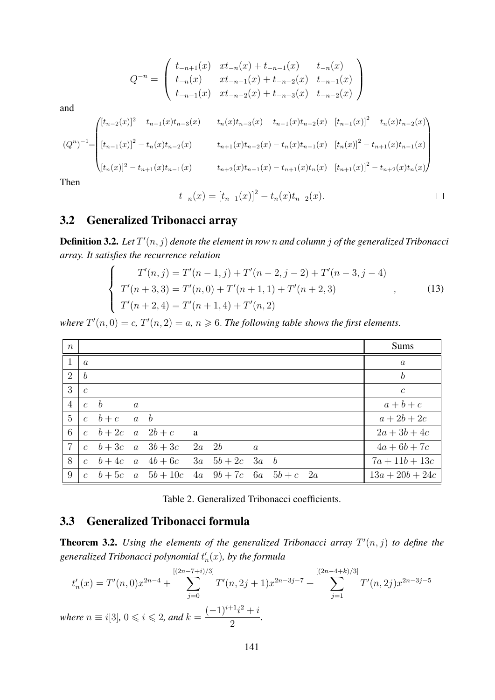$$
Q^{-n} = \begin{pmatrix} t_{-n+1}(x) & xt_{-n}(x) + t_{-n-1}(x) & t_{-n}(x) \\ t_{-n}(x) & xt_{-n-1}(x) + t_{-n-2}(x) & t_{-n-1}(x) \\ t_{-n-1}(x) & xt_{-n-2}(x) + t_{-n-3}(x) & t_{-n-2}(x) \end{pmatrix}
$$

and

$$
(Q^{n})^{-1} = \begin{pmatrix} [t_{n-2}(x)]^{2} - t_{n-1}(x)t_{n-3}(x) & t_{n}(x)t_{n-3}(x) - t_{n-1}(x)t_{n-2}(x) & [t_{n-1}(x)]^{2} - t_{n}(x)t_{n-2}(x) \ \ \left[ (t_{n-1}(x)]^{2} - t_{n}(x)t_{n-2}(x) & t_{n+1}(x)t_{n-2}(x) - t_{n}(x)t_{n-1}(x) & [t_{n}(x)]^{2} - t_{n+1}(x)t_{n-1}(x) \ \ \left[ (t_{n}(x)]^{2} - t_{n+1}(x)t_{n-1}(x) & t_{n+2}(x)t_{n-1}(x) - t_{n+1}(x)t_{n}(x) & [t_{n+1}(x)]^{2} - t_{n+2}(x)t_{n}(x) \ \ \end{pmatrix}
$$

Then

$$
t_{-n}(x) = [t_{n-1}(x)]^2 - t_n(x)t_{n-2}(x).
$$

#### 3.2 Generalized Tribonacci array

**Definition 3.2.** Let  $T'(n, j)$  denote the element in row n and column j of the generalized Tribonacci *array. It satisfies the recurrence relation*

$$
\begin{cases}\nT'(n,j) = T'(n-1,j) + T'(n-2,j-2) + T'(n-3,j-4) \\
T'(n+3,3) = T'(n,0) + T'(n+1,1) + T'(n+2,3) \\
T'(n+2,4) = T'(n+1,4) + T'(n,2)\n\end{cases}
$$
\n(13)

where  $T'(n, 0) = c$ ,  $T'(n, 2) = a$ ,  $n \ge 6$ . The following table shows the first elements.

| $\boldsymbol{n}$ |                |                                          |                                                                                              |     |                |  |  | Sums              |
|------------------|----------------|------------------------------------------|----------------------------------------------------------------------------------------------|-----|----------------|--|--|-------------------|
|                  | $\overline{a}$ |                                          |                                                                                              |     |                |  |  | $\boldsymbol{a}$  |
| 2                | $\mid b$       |                                          |                                                                                              |     |                |  |  | $\boldsymbol{b}$  |
| 3 <sup>1</sup>   | $\mathcal{C}$  |                                          |                                                                                              |     |                |  |  | $\mathcal{C}$     |
| 4 <sup>1</sup>   | $c \quad b$    | $\overline{a}$                           |                                                                                              |     |                |  |  | $a+b+c$           |
| 5 <sup>1</sup>   |                | $c \quad b+c \quad a \quad b$            |                                                                                              |     |                |  |  | $a+2b+2c$         |
|                  |                | $6 \mid c \quad b+2c \quad a \quad 2b+c$ |                                                                                              | a a |                |  |  | $2a + 3b + 4c$    |
|                  |                |                                          | $7   c \t b + 3c \t a \t 3b + 3c \t 2a \t 2b$                                                |     | $\overline{a}$ |  |  | $4a + 6b + 7c$    |
|                  |                |                                          | $8 \mid c \quad b+4c \quad a \quad 4b+6c \quad 3a \quad 5b+2c \quad 3a \quad b$              |     |                |  |  | $7a + 11b + 13c$  |
|                  |                |                                          | $9 \mid c \quad b+5c \quad a \quad 5b+10c \quad 4a \quad 9b+7c \quad 6a \quad 5b+c \quad 2a$ |     |                |  |  | $13a + 20b + 24c$ |

Table 2. Generalized Tribonacci coefficients.

#### 3.3 Generalized Tribonacci formula

**Theorem 3.2.** Using the elements of the generalized Tribonacci array  $T'(n, j)$  to define the generalized Tribonacci polynomial  $t_n^{\prime}(x)$ , by the formula

$$
t'_{n}(x) = T'(n,0)x^{2n-4} + \sum_{j=0}^{[(2n-7+i)/3]} T'(n,2j+1)x^{2n-3j-7} + \sum_{j=1}^{[(2n-4+k)/3]} T'(n,2j)x^{2n-3j-5}
$$
  
where  $n \equiv i[3]$ ,  $0 \le i \le 2$ , and  $k = \frac{(-1)^{i+1}i^{2} + i}{2}$ .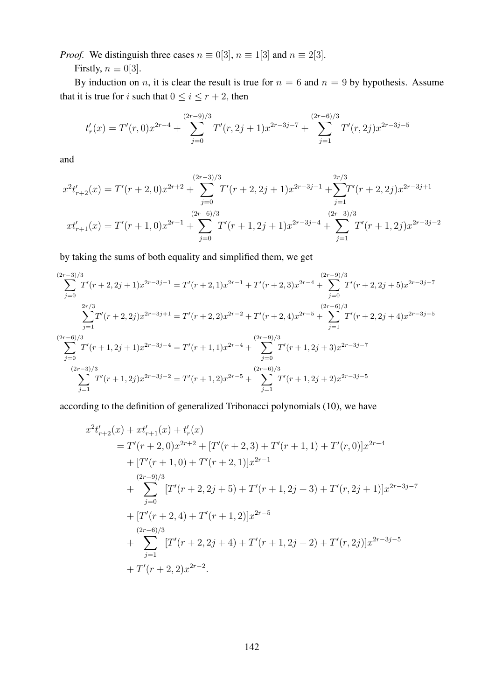*Proof.* We distinguish three cases  $n \equiv 0.03$ ,  $n \equiv 1.03$  and  $n \equiv 2.03$ .

Firstly,  $n \equiv 0[3]$ .

By induction on *n*, it is clear the result is true for  $n = 6$  and  $n = 9$  by hypothesis. Assume that it is true for *i* such that  $0 \le i \le r + 2$ , then

$$
t'_{r}(x) = T'(r,0)x^{2r-4} + \sum_{j=0}^{(2r-9)/3} T'(r,2j+1)x^{2r-3j-7} + \sum_{j=1}^{(2r-6)/3} T'(r,2j)x^{2r-3j-5}
$$

and

$$
x^{2}t'_{r+2}(x) = T'(r+2,0)x^{2r+2} + \sum_{j=0}^{(2r-3)/3} T'(r+2,2j+1)x^{2r-3j-1} + \sum_{j=1}^{2r/3} T'(r+2,2j)x^{2r-3j+1}
$$

$$
xt'_{r+1}(x) = T'(r+1,0)x^{2r-1} + \sum_{j=0}^{(2r-6)/3} T'(r+1,2j+1)x^{2r-3j-4} + \sum_{j=1}^{(2r-3)/3} T'(r+1,2j)x^{2r-3j-2}
$$

by taking the sums of both equality and simplified them, we get

$$
\sum_{j=0}^{(2r-3)/3} T'(r+2,2j+1)x^{2r-3j-1} = T'(r+2,1)x^{2r-1} + T'(r+2,3)x^{2r-4} + \sum_{j=0}^{(2r-9)/3} T'(r+2,2j+5)x^{2r-3j-7}
$$
  

$$
\sum_{j=1}^{2r/3} T'(r+2,2j)x^{2r-3j+1} = T'(r+2,2)x^{2r-2} + T'(r+2,4)x^{2r-5} + \sum_{j=1}^{(2r-6)/3} T'(r+2,2j+4)x^{2r-3j-5}
$$
  

$$
\sum_{j=0}^{(2r-6)/3} T'(r+1,2j+1)x^{2r-3j-4} = T'(r+1,1)x^{2r-4} + \sum_{j=0}^{(2r-9)/3} T'(r+1,2j+3)x^{2r-3j-7}
$$
  

$$
\sum_{j=1}^{(2r-3)/3} T'(r+1,2j)x^{2r-3j-2} = T'(r+1,2)x^{2r-5} + \sum_{j=1}^{(2r-6)/3} T'(r+1,2j+2)x^{2r-3j-5}
$$

according to the definition of generalized Tribonacci polynomials (10), we have

$$
x^{2}t'_{r+2}(x) + xt'_{r+1}(x) + t'_{r}(x)
$$
  
=  $T'(r+2, 0)x^{2r+2} + [T'(r+2, 3) + T'(r+1, 1) + T'(r, 0)]x^{2r-4}$   
+  $[T'(r+1, 0) + T'(r+2, 1)]x^{2r-1}$   
 $+ \sum_{j=0}^{(2r-9)/3} [T'(r+2, 2j+5) + T'(r+1, 2j+3) + T'(r, 2j+1)]x^{2r-3j-7}$   
+  $[T'(r+2, 4) + T'(r+1, 2)]x^{2r-5}$   
 $+ \sum_{j=1}^{(2r-6)/3} [T'(r+2, 2j+4) + T'(r+1, 2j+2) + T'(r, 2j)]x^{2r-3j-5}$   
+  $T'(r+2, 2)x^{2r-2}$ .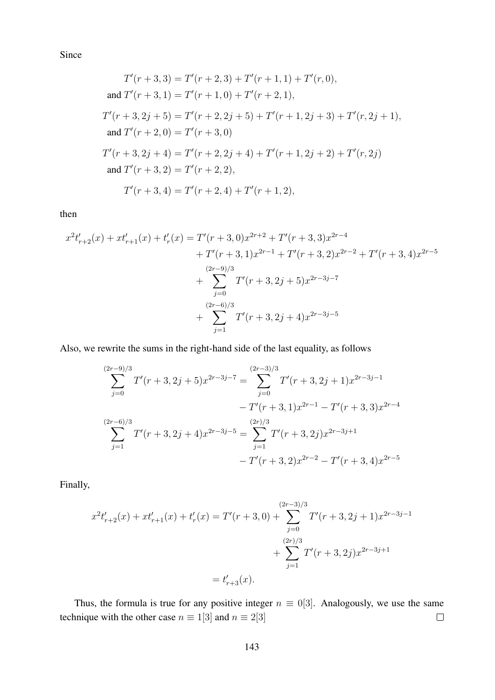Since

$$
T'(r+3,3) = T'(r+2,3) + T'(r+1,1) + T'(r,0),
$$
  
\nand 
$$
T'(r+3,1) = T'(r+1,0) + T'(r+2,1),
$$
  
\n
$$
T'(r+3,2j+5) = T'(r+2,2j+5) + T'(r+1,2j+3) + T'(r,2j+1),
$$
  
\nand 
$$
T'(r+2,0) = T'(r+3,0)
$$
  
\n
$$
T'(r+3,2j+4) = T'(r+2,2j+4) + T'(r+1,2j+2) + T'(r,2j)
$$
  
\nand 
$$
T'(r+3,2) = T'(r+2,2),
$$
  
\n
$$
T'(r+3,4) = T'(r+2,4) + T'(r+1,2),
$$

then

$$
x^{2}t'_{r+2}(x) + xt'_{r+1}(x) + t'_{r}(x) = T'(r+3,0)x^{2r+2} + T'(r+3,3)x^{2r-4}
$$
  
+  $T'(r+3,1)x^{2r-1} + T'(r+3,2)x^{2r-2} + T'(r+3,4)x^{2r-5}$   
+  $\sum_{j=0}^{(2r-9)/3} T'(r+3,2j+5)x^{2r-3j-7}$   
+  $\sum_{j=1}^{(2r-6)/3} T'(r+3,2j+4)x^{2r-3j-5}$ 

Also, we rewrite the sums in the right-hand side of the last equality, as follows

$$
\sum_{j=0}^{(2r-9)/3} T'(r+3,2j+5)x^{2r-3j-7} = \sum_{j=0}^{(2r-3)/3} T'(r+3,2j+1)x^{2r-3j-1}
$$
  
-  $T'(r+3,1)x^{2r-1} - T'(r+3,3)x^{2r-4}$   

$$
\sum_{j=1}^{(2r-6)/3} T'(r+3,2j+4)x^{2r-3j-5} = \sum_{j=1}^{(2r)/3} T'(r+3,2j)x^{2r-3j+1}
$$
  
-  $T'(r+3,2)x^{2r-2} - T'(r+3,4)x^{2r-5}$ 

Finally,

$$
x^{2}t'_{r+2}(x) + xt'_{r+1}(x) + t'_{r}(x) = T'(r+3,0) + \sum_{j=0}^{(2r-3)/3} T'(r+3,2j+1)x^{2r-3j-1}
$$
  
+ 
$$
\sum_{j=1}^{(2r)/3} T'(r+3,2j)x^{2r-3j+1}
$$
  
=  $t'_{r+3}(x)$ .

Thus, the formula is true for any positive integer  $n \equiv 0.03$ . Analogously, we use the same technique with the other case  $n \equiv 1[3]$  and  $n \equiv 2[3]$  $\Box$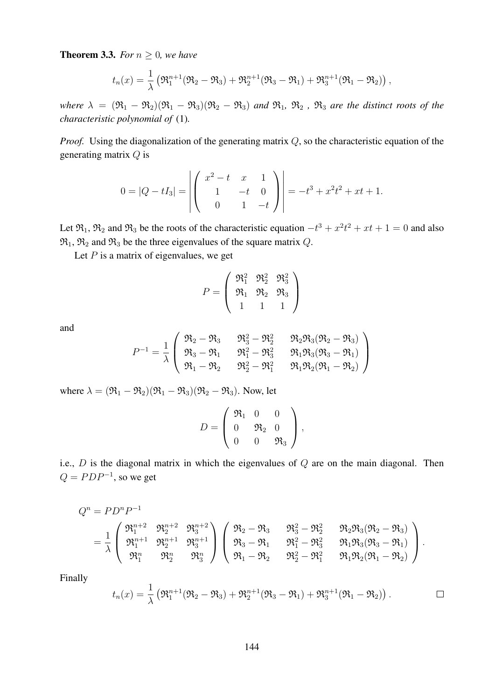**Theorem 3.3.** *For*  $n \geq 0$ *, we have* 

$$
t_n(x) = \frac{1}{\lambda} \left( \Re_1^{n+1} (\Re_2 - \Re_3) + \Re_2^{n+1} (\Re_3 - \Re_1) + \Re_3^{n+1} (\Re_1 - \Re_2) \right),
$$

*where*  $\lambda = (\Re_1 - \Re_2)(\Re_1 - \Re_3)(\Re_2 - \Re_3)$  *and*  $\Re_1$ ,  $\Re_2$ ,  $\Re_3$  *are the distinct roots of the characteristic polynomial of* (1)*.*

*Proof.* Using the diagonalization of the generating matrix Q, so the characteristic equation of the generating matrix Q is

$$
0 = |Q - tI_3| = \left| \begin{pmatrix} x^2 - t & x & 1 \\ 1 & -t & 0 \\ 0 & 1 & -t \end{pmatrix} \right| = -t^3 + x^2t^2 + xt + 1.
$$

Let  $\mathfrak{R}_1, \mathfrak{R}_2$  and  $\mathfrak{R}_3$  be the roots of the characteristic equation  $-t^3 + x^2t^2 + xt + 1 = 0$  and also  $\mathfrak{R}_1$ ,  $\mathfrak{R}_2$  and  $\mathfrak{R}_3$  be the three eigenvalues of the square matrix Q.

Let  $P$  is a matrix of eigenvalues, we get

$$
P = \left(\begin{array}{ccc} \mathfrak{R}_1^2 & \mathfrak{R}_2^2 & \mathfrak{R}_3^2 \\ \mathfrak{R}_1 & \mathfrak{R}_2 & \mathfrak{R}_3 \\ 1 & 1 & 1 \end{array}\right)
$$

and

$$
P^{-1}=\frac{1}{\lambda}\left(\begin{array}{ccc}\mathfrak{R}_2-\mathfrak{R}_3&\mathfrak{R}_3^2-\mathfrak{R}_2^2&\mathfrak{R}_2\mathfrak{R}_3(\mathfrak{R}_2-\mathfrak{R}_3)\\\mathfrak{R}_3-\mathfrak{R}_1&\mathfrak{R}_1^2-\mathfrak{R}_3^2&\mathfrak{R}_1\mathfrak{R}_3(\mathfrak{R}_3-\mathfrak{R}_1)\\\mathfrak{R}_1-\mathfrak{R}_2&\mathfrak{R}_2^2-\mathfrak{R}_1^2&\mathfrak{R}_1\mathfrak{R}_2(\mathfrak{R}_1-\mathfrak{R}_2)\end{array}\right)
$$

where  $\lambda = (\mathfrak{R}_1 - \mathfrak{R}_2)(\mathfrak{R}_1 - \mathfrak{R}_3)(\mathfrak{R}_2 - \mathfrak{R}_3)$ . Now, let

$$
D = \left( \begin{array}{ccc} \mathfrak{R}_1 & 0 & 0 \\ 0 & \mathfrak{R}_2 & 0 \\ 0 & 0 & \mathfrak{R}_3 \end{array} \right),
$$

i.e.,  $D$  is the diagonal matrix in which the eigenvalues of  $Q$  are on the main diagonal. Then  $Q = PDP^{-1}$ , so we get

$$
\begin{array}{llll} Q^n = PD^nP^{-1} & & \\ & = \frac{1}{\lambda} \left( \begin{array}{ccc} \mathfrak{R}_1^{n+2} & \mathfrak{R}_2^{n+2} & \mathfrak{R}_3^{n+2} \\ \mathfrak{R}_1^{n+1} & \mathfrak{R}_2^{n+1} & \mathfrak{R}_3^{n+1} \\ \mathfrak{R}_1^n & \mathfrak{R}_2^n & \mathfrak{R}_3^n \end{array} \right) \left( \begin{array}{ccc} \mathfrak{R}_2 - \mathfrak{R}_3 & \mathfrak{R}_3^2 - \mathfrak{R}_2^2 & \mathfrak{R}_2 \mathfrak{R}_3 (\mathfrak{R}_2 - \mathfrak{R}_3) \\ \mathfrak{R}_3 - \mathfrak{R}_1 & \mathfrak{R}_1^2 - \mathfrak{R}_3^2 & \mathfrak{R}_1 \mathfrak{R}_3 (\mathfrak{R}_3 - \mathfrak{R}_1) \\ \mathfrak{R}_1 - \mathfrak{R}_2 & \mathfrak{R}_2^2 - \mathfrak{R}_1^2 & \mathfrak{R}_1 \mathfrak{R}_2 (\mathfrak{R}_1 - \mathfrak{R}_2) \end{array} \right). \end{array}
$$

Finally

$$
t_n(x) = \frac{1}{\lambda} \left( \Re_1^{n+1} (\Re_2 - \Re_3) + \Re_2^{n+1} (\Re_3 - \Re_1) + \Re_3^{n+1} (\Re_1 - \Re_2) \right).
$$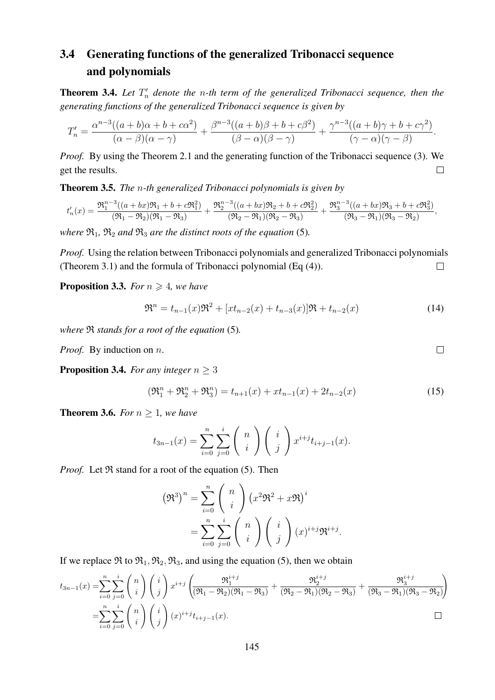# 3.4 Generating functions of the generalized Tribonacci sequence and polynomials

**Theorem 3.4.** Let  $T_n'$  denote the n-th term of the generalized Tribonacci sequence, then the *generating functions of the generalized Tribonacci sequence is given by*

$$
T'_n = \frac{\alpha^{n-3}((a+b)\alpha+b+c\alpha^2)}{(\alpha-\beta)(\alpha-\gamma)} + \frac{\beta^{n-3}((a+b)\beta+b+c\beta^2)}{(\beta-\alpha)(\beta-\gamma)} + \frac{\gamma^{n-3}((a+b)\gamma+b+c\gamma^2)}{(\gamma-\alpha)(\gamma-\beta)}.
$$

*Proof.* By using the Theorem 2.1 and the generating function of the Tribonacci sequence (3). We get the results.  $\Box$ 

Theorem 3.5. *The* n*-th generalized Tribonacci polynomials is given by*

$$
t_n'(x) = \frac{\mathfrak{R}_1^{n-3}((a+bx)\mathfrak{R}_1 + b + c\mathfrak{R}_1^2)}{(\mathfrak{R}_1 - \mathfrak{R}_2)(\mathfrak{R}_1 - \mathfrak{R}_3)} + \frac{\mathfrak{R}_2^{n-3}((a+bx)\mathfrak{R}_2 + b + c\mathfrak{R}_2^2)}{(\mathfrak{R}_2 - \mathfrak{R}_1)(\mathfrak{R}_2 - \mathfrak{R}_3)} + \frac{\mathfrak{R}_3^{n-3}((a+bx)\mathfrak{R}_3 + b + c\mathfrak{R}_3^2)}{(\mathfrak{R}_3 - \mathfrak{R}_1)(\mathfrak{R}_3 - \mathfrak{R}_2)},
$$

*where*  $\mathfrak{R}_1$ ,  $\mathfrak{R}_2$  *and*  $\mathfrak{R}_3$  *are the distinct roots of the equation* (5)*.* 

*Proof.* Using the relation between Tribonacci polynomials and generalized Tribonacci polynomials (Theorem 3.1) and the formula of Tribonacci polynomial (Eq (4)).  $\Box$ 

**Proposition 3.3.** *For*  $n \geq 4$ *, we have* 

$$
\mathfrak{R}^n = t_{n-1}(x)\mathfrak{R}^2 + [xt_{n-2}(x) + t_{n-3}(x)]\mathfrak{R} + t_{n-2}(x)
$$
\n(14)

*where* R *stands for a root of the equation* (5)*.*

*Proof.* By induction on *n*.

**Proposition 3.4.** *For any integer*  $n \geq 3$ 

$$
(\mathfrak{R}_1^n + \mathfrak{R}_2^n + \mathfrak{R}_3^n) = t_{n+1}(x) + xt_{n-1}(x) + 2t_{n-2}(x)
$$
\n(15)

 $\Box$ 

**Theorem 3.6.** *For*  $n \geq 1$ *, we have* 

$$
t_{3n-1}(x) = \sum_{i=0}^{n} \sum_{j=0}^{i} {n \choose i} {i \choose j} x^{i+j} t_{i+j-1}(x).
$$

*Proof.* Let  $\Re$  stand for a root of the equation (5). Then

$$
\left(\mathfrak{R}^3\right)^n = \sum_{i=0}^n \binom{n}{i} \left(x^2 \mathfrak{R}^2 + x \mathfrak{R}\right)^i
$$

$$
= \sum_{i=0}^n \sum_{j=0}^i \binom{n}{i} \binom{i}{j} \left(x\right)^{i+j} \mathfrak{R}^{i+j}.
$$

If we replace  $\Re$  to  $\Re_1$ ,  $\Re_2$ ,  $\Re_3$ , and using the equation (5), then we obtain

$$
t_{3n-1}(x) = \sum_{i=0}^{n} \sum_{j=0}^{i} {n \choose i} {i \choose j} x^{i+j} \left( \frac{\mathfrak{R}_1^{i+j}}{(\mathfrak{R}_1 - \mathfrak{R}_2)(\mathfrak{R}_1 - \mathfrak{R}_3)} + \frac{\mathfrak{R}_2^{i+j}}{(\mathfrak{R}_2 - \mathfrak{R}_1)(\mathfrak{R}_2 - \mathfrak{R}_3)} + \frac{\mathfrak{R}_3^{i+j}}{(\mathfrak{R}_3 - \mathfrak{R}_1)(\mathfrak{R}_3 - \mathfrak{R}_2)} \right)
$$
  
=
$$
\sum_{i=0}^{n} \sum_{j=0}^{i} {n \choose i} {i \choose j} (x)^{i+j} t_{i+j-1}(x).
$$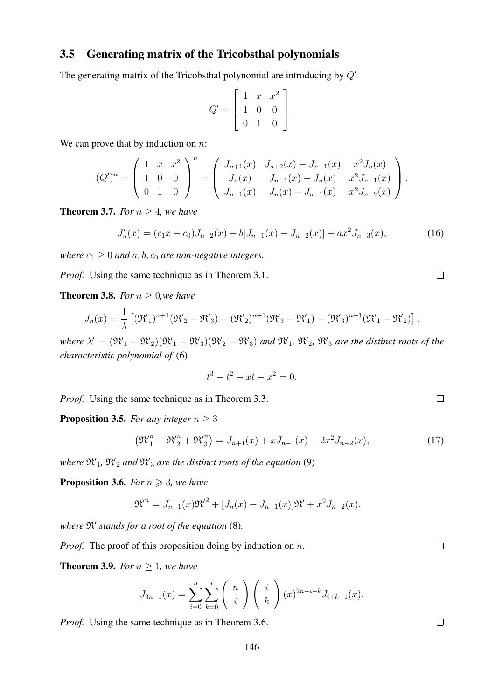#### 3.5 Generating matrix of the Tricobsthal polynomials

The generating matrix of the Tricobsthal polynomial are introducing by  $Q'$ 

$$
Q' = \left[ \begin{array}{rrr} 1 & x & x^2 \\ 1 & 0 & 0 \\ 0 & 1 & 0 \end{array} \right].
$$

We can prove that by induction on  $n$ :

$$
(Q')^{n} = \begin{pmatrix} 1 & x & x^{2} \\ 1 & 0 & 0 \\ 0 & 1 & 0 \end{pmatrix}^{n} = \begin{pmatrix} J_{n+1}(x) & J_{n+2}(x) - J_{n+1}(x) & x^{2} J_{n}(x) \\ J_{n}(x) & J_{n+1}(x) - J_{n}(x) & x^{2} J_{n-1}(x) \\ J_{n-1}(x) & J_{n}(x) - J_{n-1}(x) & x^{2} J_{n-2}(x) \end{pmatrix}.
$$

**Theorem 3.7.** *For*  $n \geq 4$ *, we have* 

$$
J'_n(x) = (c_1x + c_0)J_{n-2}(x) + b[J_{n-1}(x) - J_{n-2}(x)] + ax^2J_{n-3}(x),
$$
\n(16)

*where*  $c_1 \geq 0$  *and*  $a, b, c_0$  *are non-negative integers.* 

*Proof.* Using the same technique as in Theorem 3.1.

**Theorem 3.8.** *For*  $n > 0$ *,we have* 

$$
J_n(x) = \frac{1}{\lambda} \left[ (\mathfrak{R}'_1)^{n+1} (\mathfrak{R}'_2 - \mathfrak{R}'_3) + (\mathfrak{R}'_2)^{n+1} (\mathfrak{R}'_3 - \mathfrak{R}'_1) + (\mathfrak{R}'_3)^{n+1} (\mathfrak{R}'_1 - \mathfrak{R}'_2) \right],
$$

where  $\lambda' = (\mathfrak{R}'_1 - \mathfrak{R}'_2)(\mathfrak{R}'_1 - \mathfrak{R}'_3)(\mathfrak{R}'_2 - \mathfrak{R}'_3)$  and  $\mathfrak{R}'_1$ ,  $\mathfrak{R}'_2$ ,  $\mathfrak{R}'_3$  are the distinct roots of the *characteristic polynomial of* (6)

$$
t^3 - t^2 - xt - x^2 = 0.
$$

*Proof.* Using the same technique as in Theorem 3.3.

**Proposition 3.5.** *For any integer*  $n \geq 3$ 

$$
\left(\mathfrak{R}_{1}^{"n} + \mathfrak{R}_{2}^{"n} + \mathfrak{R}_{3}^{"n}\right) = J_{n+1}(x) + xJ_{n-1}(x) + 2x^{2}J_{n-2}(x),\tag{17}
$$

where  $\mathfrak{R'}_1$ ,  $\mathfrak{R'}_2$  *and*  $\mathfrak{R'}_3$  *are the distinct roots of the equation* (9)

**Proposition 3.6.** *For*  $n \geq 3$ *, we have* 

$$
\mathfrak{R}^{n} = J_{n-1}(x)\mathfrak{R}^{2} + [J_{n}(x) - J_{n-1}(x)]\mathfrak{R}^{2} + x^{2}J_{n-2}(x),
$$

where  $\mathfrak{R}'$  stands for a root of the equation (8).

*Proof.* The proof of this proposition doing by induction on n.

**Theorem 3.9.** *For*  $n \geq 1$ *, we have* 

$$
J_{3n-1}(x) = \sum_{i=0}^{n} \sum_{k=0}^{i} {n \choose i} {i \choose k} (x)^{2n-i-k} J_{i+k-1}(x).
$$

*Proof.* Using the same technique as in Theorem 3.6.

 $\Box$ 

 $\Box$ 

 $\Box$ 

 $\Box$